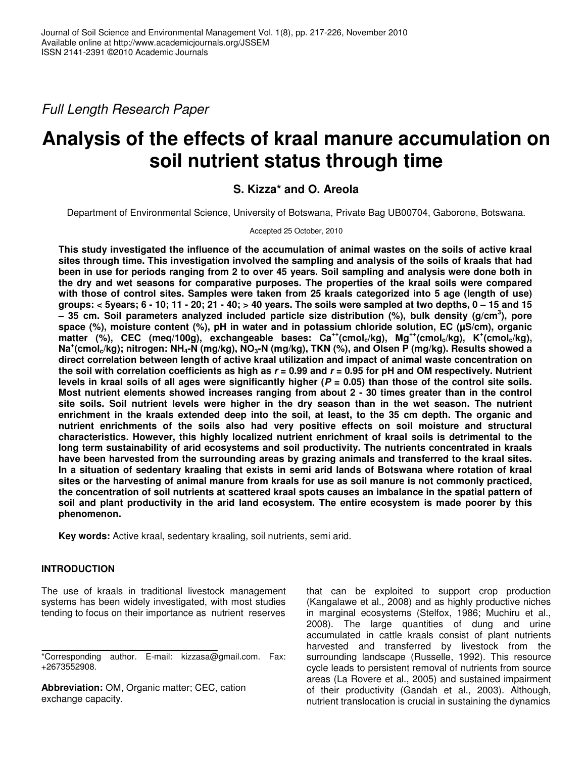*Full Length Research Paper*

# **Analysis of the effects of kraal manure accumulation on soil nutrient status through time**

## **S. Kizza\* and O. Areola**

Department of Environmental Science, University of Botswana, Private Bag UB00704, Gaborone, Botswana.

Accepted 25 October, 2010

**This study investigated the influence of the accumulation of animal wastes on the soils of active kraal sites through time. This investigation involved the sampling and analysis of the soils of kraals that had** been in use for periods ranging from 2 to over 45 years. Soil sampling and analysis were done both in **the dry and wet seasons for comparative purposes. The properties of the kraal soils were compared** with those of control sites. Samples were taken from 25 kraals categorized into 5 age (length of use) groups: < 5years; 6 - 10; 11 - 20; 21 - 40; > 40 years. The soils were sampled at two depths,  $0 - 15$  and 15 **– 35 cm. Soil parameters analyzed included particle size distribution (%), bulk density (g/cm 3 ), pore space (%), moisture content (%), pH in water and in potassium chloride solution, EC (µS/cm), organic** matter (%), CEC (meq/100g), exchangeable bases: Ca<sup>++</sup>(cmol<sub>c</sub>/kg), Mg<sup>++</sup>(cmol<sub>c</sub>/kg), K<sup>+</sup>(cmol<sub>c</sub>/kg), Na\*(cmol<sub>c</sub>/kg); nitrogen: NH<sub>4</sub>-N (mg/kg), NO<sub>3</sub>-N (mg/kg), TKN (%), and Olsen P (mg/kg). Results showed a **direct correlation between length of active kraal utilization and impact of animal waste concentration on** the soil with correlation coefficients as high as  $r = 0.99$  and  $r = 0.95$  for pH and OM respectively. Nutrient levels in kraal soils of all ages were significantly higher ( $P = 0.05$ ) than those of the control site soils. **Most nutrient elements showed increases ranging from about 2 - 30 times greater than in the control** site soils. Soil nutrient levels were higher in the dry season than in the wet season. The nutrient enrichment in the kraals extended deep into the soil, at least, to the 35 cm depth. The organic and **nutrient enrichments of the soils also had very positive effects on soil moisture and structural characteristics. However, this highly localized nutrient enrichment of kraal soils is detrimental to the long term sustainability of arid ecosystems and soil productivity. The nutrients concentrated in kraals have been harvested from the surrounding areas by grazing animals and transferred to the kraal sites.** In a situation of sedentary kraaling that exists in semi arid lands of Botswana where rotation of kraal sites or the harvesting of animal manure from kraals for use as soil manure is not commonly practiced, the concentration of soil nutrients at scattered kraal spots causes an imbalance in the spatial pattern of **soil and plant productivity in the arid land ecosystem. The entire ecosystem is made poorer by this phenomenon.**

**Key words:** Active kraal, sedentary kraaling, soil nutrients, semi arid.

## **INTRODUCTION**

The use of kraals in traditional livestock management systems has been widely investigated, with most studies tending to focus on their importance as nutrient reserves

**Abbreviation:** OM, Organic matter; CEC, cation exchange capacity.

that can be exploited to support crop production (Kangalawe et al.*,* 2008) and as highly productive niches in marginal ecosystems (Stelfox, 1986; Muchiru et al., 2008). The large quantities of dung and urine accumulated in cattle kraals consist of plant nutrients harvested and transferred by livestock from the surrounding landscape (Russelle, 1992). This resource cycle leads to persistent removal of nutrients from source areas (La Rovere et al., 2005) and sustained impairment of their productivity (Gandah et al., 2003). Although, nutrient translocation is crucial in sustaining the dynamics

<sup>\*</sup>Corresponding author. E-mail: kizzasa@gmail.com. Fax: +2673552908.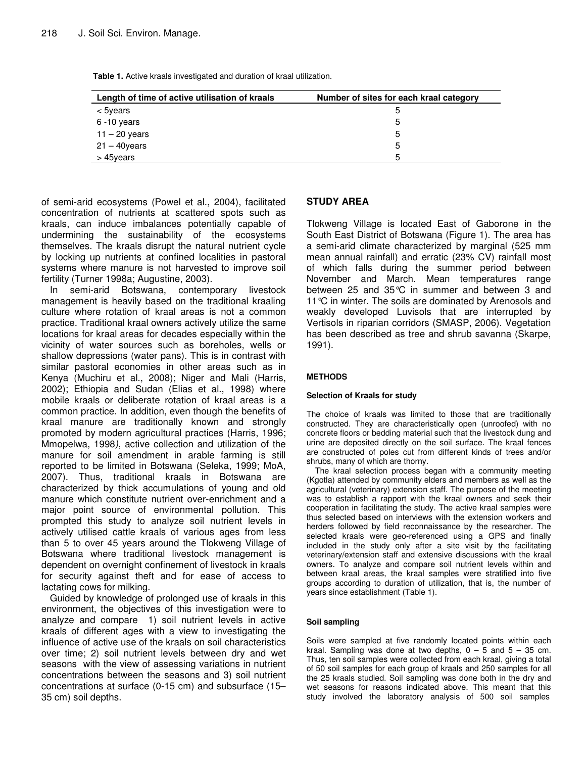**Table 1.** Active kraals investigated and duration of kraal utilization.

| Length of time of active utilisation of kraals | Number of sites for each kraal category |
|------------------------------------------------|-----------------------------------------|
| < 5years                                       | 5                                       |
| $6 - 10$ years                                 | 5                                       |
| $11 - 20$ years                                | 5                                       |
| $21 - 40$ years                                | 5                                       |
| > 45years                                      | ᄃ                                       |

of semi-arid ecosystems (Powel et al., 2004), facilitated concentration of nutrients at scattered spots such as kraals, can induce imbalances potentially capable of undermining the sustainability of the ecosystems themselves. The kraals disrupt the natural nutrient cycle by locking up nutrients at confined localities in pastoral systems where manure is not harvested to improve soil fertility (Turner 1998a; Augustine, 2003).

In semi-arid Botswana, contemporary livestock management is heavily based on the traditional kraaling culture where rotation of kraal areas is not a common practice. Traditional kraal owners actively utilize the same locations for kraal areas for decades especially within the vicinity of water sources such as boreholes, wells or shallow depressions (water pans). This is in contrast with similar pastoral economies in other areas such as in Kenya (Muchiru et al., 2008); Niger and Mali (Harris, 2002); Ethiopia and Sudan (Elias et al., 1998) where mobile kraals or deliberate rotation of kraal areas is a common practice. In addition, even though the benefits of kraal manure are traditionally known and strongly promoted by modern agricultural practices (Harris, 1996; Mmopelwa, 1998*)*, active collection and utilization of the manure for soil amendment in arable farming is still reported to be limited in Botswana (Seleka, 1999; MoA, 2007). Thus, traditional kraals in Botswana are characterized by thick accumulations of young and old manure which constitute nutrient over-enrichment and a major point source of environmental pollution. This prompted this study to analyze soil nutrient levels in actively utilised cattle kraals of various ages from less than 5 to over 45 years around the Tlokweng Village of Botswana where traditional livestock management is dependent on overnight confinement of livestock in kraals for security against theft and for ease of access to lactating cows for milking.

Guided by knowledge of prolonged use of kraals in this environment, the objectives of this investigation were to analyze and compare 1) soil nutrient levels in active kraals of different ages with a view to investigating the influence of active use of the kraals on soil characteristics over time; 2) soil nutrient levels between dry and wet seasons with the view of assessing variations in nutrient concentrations between the seasons and 3) soil nutrient concentrations at surface (0-15 cm) and subsurface (15– 35 cm) soil depths.

## **STUDY AREA**

Tlokweng Village is located East of Gaborone in the South East District of Botswana (Figure 1). The area has a semi-arid climate characterized by marginal (525 mm mean annual rainfall) and erratic (23% CV) rainfall most of which falls during the summer period between November and March. Mean temperatures range between 25 and 35°C in summer and between 3 and 11<sup>°</sup>C in winter. The soils are dominated by Arenosols and weakly developed Luvisols that are interrupted by Vertisols in riparian corridors (SMASP, 2006). Vegetation has been described as tree and shrub savanna (Skarpe, 1991).

#### **METHODS**

#### **Selection of Kraals for study**

The choice of kraals was limited to those that are traditionally constructed. They are characteristically open (unroofed) with no concrete floors or bedding material such that the livestock dung and urine are deposited directly on the soil surface. The kraal fences are constructed of poles cut from different kinds of trees and/or shrubs, many of which are thorny.

The kraal selection process began with a community meeting (Kgotla) attended by community elders and members as well as the agricultural (veterinary) extension staff. The purpose of the meeting was to establish a rapport with the kraal owners and seek their cooperation in facilitating the study. The active kraal samples were thus selected based on interviews with the extension workers and herders followed by field reconnaissance by the researcher. The selected kraals were geo-referenced using a GPS and finally included in the study only after a site visit by the facilitating veterinary/extension staff and extensive discussions with the kraal owners. To analyze and compare soil nutrient levels within and between kraal areas, the kraal samples were stratified into five groups according to duration of utilization, that is, the number of years since establishment (Table 1).

#### **Soil sampling**

Soils were sampled at five randomly located points within each kraal. Sampling was done at two depths,  $0 - 5$  and  $5 - 35$  cm. Thus, ten soil samples were collected from each kraal, giving a total of 50 soil samples for each group of kraals and 250 samples for all the 25 kraals studied. Soil sampling was done both in the dry and wet seasons for reasons indicated above. This meant that this study involved the laboratory analysis of 500 soil samples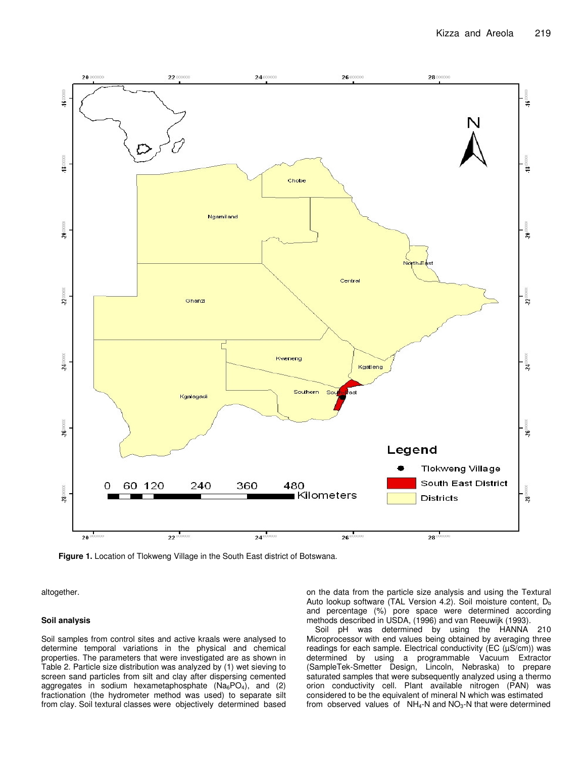

**Figure 1.** Location of Tlokweng Village in the South East district of Botswana.

altogether.

#### **Soil analysis**

Soil samples from control sites and active kraals were analysed to determine temporal variations in the physical and chemical properties. The parameters that were investigated are as shown in Table 2. Particle size distribution was analyzed by (1) wet sieving to screen sand particles from silt and clay after dispersing cemented aggregates in sodium hexametaphosphate  $(Na_6PO_4)$ , and (2) fractionation (the hydrometer method was used) to separate silt from clay. Soil textural classes were objectively determined based on the data from the particle size analysis and using the Textural Auto lookup software (TAL Version 4.2). Soil moisture content,  $D_b$ and percentage (%) pore space were determined according methods described in USDA, (1996) and van Reeuwijk (1993).

Soil pH was determined by using the HANNA 210 Microprocessor with end values being obtained by averaging three readings for each sample. Electrical conductivity (EC  $(\mu S/cm)$ ) was determined by using a programmable Vacuum Extractor (SampleTek-Smetter Design, Lincoln, Nebraska) to prepare saturated samples that were subsequently analyzed using a thermo orion conductivity cell. Plant available nitrogen (PAN) was considered to be the equivalent of mineral N which was estimated from observed values of  $NH_4-N$  and  $NO_3-N$  that were determined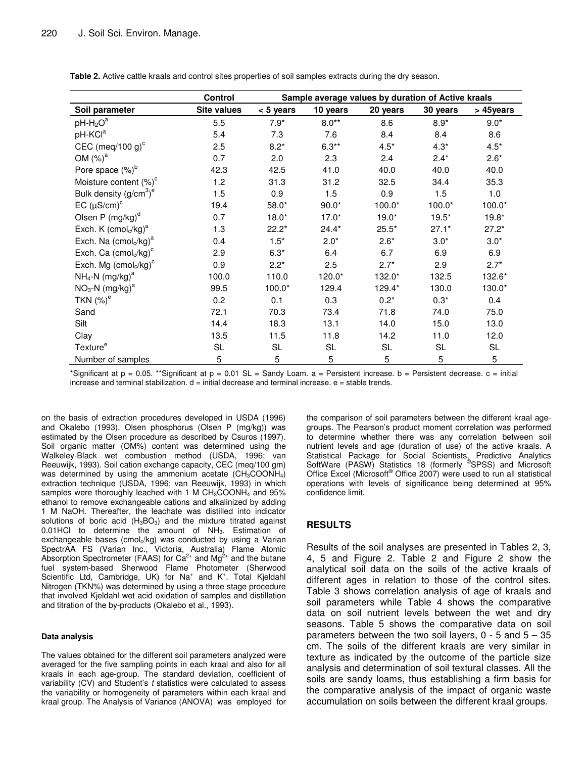**Table 2.** Active cattle kraals and control sites properties of soil samples extracts during the dry season.

|                                   | Control            | Sample average values by duration of Active kraals |           |           |           |             |
|-----------------------------------|--------------------|----------------------------------------------------|-----------|-----------|-----------|-------------|
| Soil parameter                    | <b>Site values</b> | $< 5$ years                                        | 10 years  | 20 years  | 30 years  | > 45years   |
| $pH-H2Oa$                         | 5.5                | $7.9*$                                             | $8.0**$   | 8.6       | $8.9*$    | $9.0*$      |
| pH-KCl <sup>a</sup>               | 5.4                | 7.3                                                | 7.6       | 8.4       | 8.4       | 8.6         |
| CEC (meq/100 g) $\text{c}$        | 2.5                | $8.2*$                                             | $6.3**$   | $4.5*$    | $4.3*$    | $4.5*$      |
| OM $(\%)^a$                       | 0.7                | 2.0                                                | 2.3       | 2.4       | $2.4*$    | $2.6*$      |
| Pore space $(\%)^b$               | 42.3               | 42.5                                               | 41.0      | 40.0      | 40.0      | 40.0        |
| Moisture content (%) <sup>c</sup> | 1.2                | 31.3                                               | 31.2      | 32.5      | 34.4      | 35.3        |
| Bulk density $(g/cm3)e$           | 1.5                | 0.9                                                | 1.5       | 0.9       | 1.5       | 1.0         |
| EC $(\mu S/cm)^c$                 | 19.4               | $58.0*$                                            | $90.0*$   | $100.0*$  | $100.0*$  | $100.0*$    |
| Olsen P (mg/kg) <sup>d</sup>      | 0.7                | $18.0*$                                            | $17.0*$   | $19.0*$   | $19.5*$   | $19.8*$     |
| Exch. K $(cmolc/kg)a$             | 1.3                | $22.2*$                                            | $24.4*$   | $25.5*$   | $27.1*$   | $27.2*$     |
| Exch. Na $(cmolc/kg)a$            | 0.4                | $1.5*$                                             | $2.0*$    | $2.6*$    | $3.0*$    | $3.0*$      |
| Exch. Ca $(cmolc/kg)c$            | 2.9                | $6.3*$                                             | 6.4       | 6.7       | 6.9       | 6.9         |
| Exch. Mg $(cmol_c/kg)^c$          | 0.9                | $2.2*$                                             | 2.5       | $2.7*$    | 2.9       | $2.7*$      |
| $NH_4$ -N (mg/kg) <sup>a</sup>    | 100.0              | 110.0                                              | 120.0*    | 132.0*    | 132.5     | 132.6*      |
| $NO3-N (mg/kg)a$                  | 99.5               | $100.0*$                                           | 129.4     | 129.4*    | 130.0     | 130.0*      |
| TKN $(\%)^e$                      | 0.2                | 0.1                                                | 0.3       | $0.2*$    | $0.3*$    | 0.4         |
| Sand                              | 72.1               | 70.3                                               | 73.4      | 71.8      | 74.0      | 75.0        |
| Silt                              | 14.4               | 18.3                                               | 13.1      | 14.0      | 15.0      | 13.0        |
| Clay                              | 13.5               | 11.5                                               | 11.8      | 14.2      | 11.0      | 12.0        |
| Texture <sup>e</sup>              | SL                 | <b>SL</b>                                          | <b>SL</b> | <b>SL</b> | <b>SL</b> | <b>SL</b>   |
| Number of samples                 | 5                  | 5                                                  | 5         | 5         | 5         | $\mathbf 5$ |

\*Significant at  $p = 0.05$ . \*\*Significant at  $p = 0.01$  SL = Sandy Loam. a = Persistent increase. b = Persistent decrease. c = initial increase and terminal stabilization.  $d = \text{initial decrease}$  and terminal increase.  $e = \text{stable trends.}$ 

on the basis of extraction procedures developed in USDA (1996) and Okalebo (1993). Olsen phosphorus (Olsen P (mg/kg)) was estimated by the Olsen procedure as described by Csuros (1997). Soil organic matter (OM%) content was determined using the Walkeley-Black wet combustion method (USDA, 1996; van Reeuwijk, 1993). Soil cation exchange capacity, CEC (meq/100 gm) was determined by using the ammonium acetate  $(CH_3COONH_4)$ extraction technique (USDA, 1996; van Reeuwijk, 1993) in which samples were thoroughly leached with 1 M  $CH<sub>3</sub>COONH<sub>4</sub>$  and 95% ethanol to remove exchangeable cations and alkalinized by adding 1 M NaOH. Thereafter, the leachate was distilled into indicator solutions of boric acid (H<sub>3</sub>BO<sub>3</sub>) and the mixture titrated against 0.01HCl to determine the amount of NH<sub>3</sub>. Estimation of exchangeable bases (cmol<sub>c</sub>/kg) was conducted by using a Varian SpectrAA FS (Varian Inc., Victoria, Australia) Flame Atomic Absorption Spectrometer (FAAS) for Ca<sup>2+</sup> and Mg<sup>2+</sup> and the butane fuel system-based Sherwood Flame Photometer (Sherwood Scientific Ltd, Cambridge, UK) for Na<sup>+</sup> and K<sup>+</sup>. Total Kjeldahl Nitrogen (TKN%) was determined by using a three stage procedure that involved Kjeldahl wet acid oxidation of samples and distillation and titration of the by-products (Okalebo et al., 1993).

#### **Data analysis**

The values obtained for the different soil parameters analyzed were averaged for the five sampling points in each kraal and also for all kraals in each age-group. The standard deviation, coefficient of variability (CV) and Student's *t* statistics were calculated to assess the variability or homogeneity of parameters within each kraal and kraal group. The Analysis of Variance (ANOVA) was employed for

the comparison of soil parameters between the different kraal agegroups. The Pearson's product moment correlation was performed to determine whether there was any correlation between soil nutrient levels and age (duration of use) of the active kraals. A Statistical Package for Social Scientists, Predictive Analytics SoftWare (PASW) Statistics 18 (formerly <sup>®</sup>SPSS) and Microsoft Office Excel (Microsoft ® Office 2007) were used to run all statistical operations with levels of significance being determined at 95% confidence limit.

#### **RESULTS**

Results of the soil analyses are presented in Tables 2, 3, 4, 5 and Figure 2. Table 2 and Figure 2 show the analytical soil data on the soils of the active kraals of different ages in relation to those of the control sites. Table 3 shows correlation analysis of age of kraals and soil parameters while Table 4 shows the comparative data on soil nutrient levels between the wet and dry seasons. Table 5 shows the comparative data on soil parameters between the two soil layers,  $0 - 5$  and  $5 - 35$ cm. The soils of the different kraals are very similar in texture as indicated by the outcome of the particle size analysis and determination of soil textural classes. All the soils are sandy loams, thus establishing a firm basis for the comparative analysis of the impact of organic waste accumulation on soils between the different kraal groups.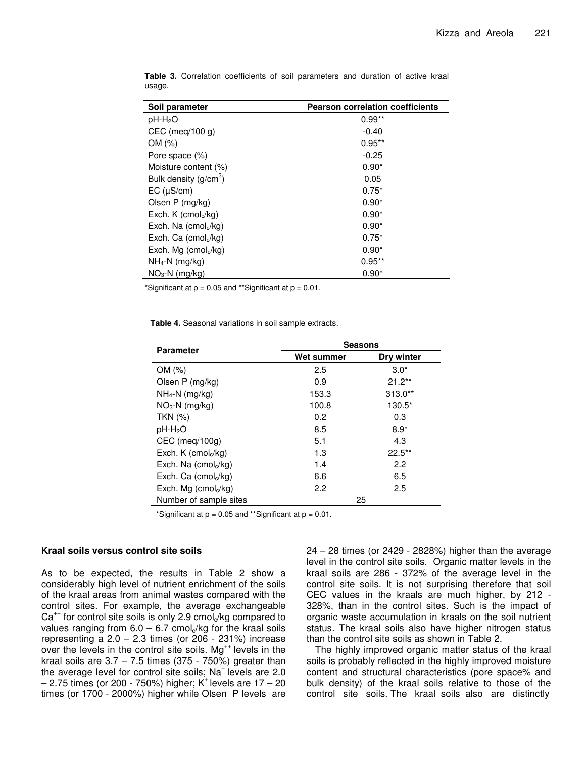| Soil parameter                              | <b>Pearson correlation coefficients</b> |  |  |
|---------------------------------------------|-----------------------------------------|--|--|
| pH-H <sub>2</sub> O                         | $0.99**$                                |  |  |
| $CEC$ (meg/100 g)                           | $-0.40$                                 |  |  |
| OM (%)                                      | $0.95**$                                |  |  |
| Pore space (%)                              | $-0.25$                                 |  |  |
| Moisture content (%)                        | $0.90*$                                 |  |  |
| Bulk density $(g/cm3)$                      | 0.05                                    |  |  |
| EC (µS/cm)                                  | $0.75*$                                 |  |  |
| Olsen P (mg/kg)                             | $0.90*$                                 |  |  |
| Exch. K (cmol <sub>c</sub> /kg)             | $0.90*$                                 |  |  |
| Exch. Na $(cmolc/kg)$                       | $0.90*$                                 |  |  |
| Exch. Ca $(\text{cmol}_{\alpha}/\text{kg})$ | $0.75*$                                 |  |  |
| Exch. Mg (cmol $\sqrt{k}$ g)                | $0.90*$                                 |  |  |
| $NH_4-N$ (mg/kg)                            | $0.95***$                               |  |  |
| $NO3-N$ (mg/kg)                             | $0.90*$                                 |  |  |

**Table 3.** Correlation coefficients of soil parameters and duration of active kraal usage.

\*Significant at  $p = 0.05$  and \*\*Significant at  $p = 0.01$ .

**Table 4.** Seasonal variations in soil sample extracts.

| Parameter                            | <b>Seasons</b> |            |  |  |
|--------------------------------------|----------------|------------|--|--|
|                                      | Wet summer     | Dry winter |  |  |
| OM(%)                                | 2.5            | $3.0*$     |  |  |
| Olsen P (mg/kg)                      | 0.9            | $21.2**$   |  |  |
| $NH_4-N$ (mg/kg)                     | 153.3          | $313.0**$  |  |  |
| $NO3 - N$ (mg/kg)                    | 100.8          | $130.5*$   |  |  |
| <b>TKN (%)</b>                       | 0.2            | 0.3        |  |  |
| $pH-H2O$                             | 8.5            | $8.9*$     |  |  |
| CEC (meg/100g)                       | 5.1            | 4.3        |  |  |
| Exch. K (cmol $\sqrt{k}$ g)          | 1.3            | $22.5***$  |  |  |
| Exch. Na $(\text{cmol}_c/\text{kg})$ | 1.4            | 2.2        |  |  |
| Exch. Ca $(\text{cmol}_c/\text{kg})$ | 6.6            | 6.5        |  |  |
| Exch. Mg $(cmolc/kg)$                | 2.2            | 2.5        |  |  |
| Number of sample sites               | 25             |            |  |  |

\*Significant at  $p = 0.05$  and \*\*Significant at  $p = 0.01$ .

#### **Kraal soils versus control site soils**

As to be expected, the results in Table 2 show a considerably high level of nutrient enrichment of the soils of the kraal areas from animal wastes compared with the control sites. For example, the average exchangeable Ca<sup>++</sup> for control site soils is only 2.9 cmol<sub>c</sub>/kg compared to values ranging from  $6.0 - 6.7$  cmol $\sqrt{k}$ g for the kraal soils representing a  $2.0 - 2.3$  times (or  $206 - 231\%$ ) increase over the levels in the control site soils. Mg<sup>++</sup> levels in the kraal soils are  $3.7 - 7.5$  times (375 - 750%) greater than the average level for control site soils; Na<sup>+ levels are 2.0</sup> – 2.75 times (or 200 - 750%) higher; K + levels are 17 – 20 times (or 1700 - 2000%) higher while Olsen P levels are

24 – 28 times (or 2429 - 2828%) higher than the average level in the control site soils. Organic matter levels in the kraal soils are 286 - 372% of the average level in the control site soils. It is not surprising therefore that soil CEC values in the kraals are much higher, by 212 - 328%, than in the control sites. Such is the impact of organic waste accumulation in kraals on the soil nutrient status. The kraal soils also have higher nitrogen status than the control site soils as shown in Table 2.

The highly improved organic matter status of the kraal soils is probably reflected in the highly improved moisture content and structural characteristics (pore space% and bulk density) of the kraal soils relative to those of the control site soils. The kraal soils also are distinctly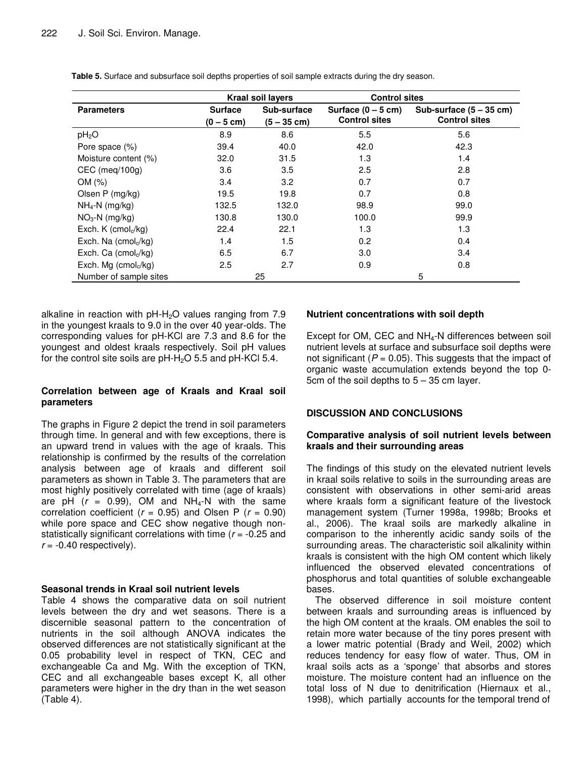|                                      | <b>Kraal soil layers</b> |               | <b>Control sites</b> |                           |
|--------------------------------------|--------------------------|---------------|----------------------|---------------------------|
| <b>Parameters</b>                    | <b>Surface</b>           | Sub-surface   | Surface $(0 - 5$ cm) | Sub-surface $(5 - 35$ cm) |
|                                      | $(0 - 5$ cm)             | $(5 - 35$ cm) | <b>Control sites</b> | <b>Control sites</b>      |
| pH <sub>2</sub> O                    | 8.9                      | 8.6           | 5.5                  | 5.6                       |
| Pore space (%)                       | 39.4                     | 40.0          | 42.0                 | 42.3                      |
| Moisture content (%)                 | 32.0                     | 31.5          | 1.3                  | 1.4                       |
| $CEC$ (meg/100g)                     | 3.6                      | 3.5           | 2.5                  | 2.8                       |
| OM (%)                               | 3.4                      | 3.2           | 0.7                  | 0.7                       |
| Olsen P (mg/kg)                      | 19.5                     | 19.8          | 0.7                  | 0.8                       |
| $NH_4-N$ (mg/kg)                     | 132.5                    | 132.0         | 98.9                 | 99.0                      |
| $NO3-N$ (mg/kg)                      | 130.8                    | 130.0         | 100.0                | 99.9                      |
| Exch. K (cmol $\sqrt{kg}$ )          | 22.4                     | 22.1          | 1.3                  | 1.3                       |
| Exch. Na $(\text{cmol}_c/\text{kg})$ | 1.4                      | 1.5           | 0.2                  | 0.4                       |
| Exch. Ca $(\text{cmol}_c/\text{kg})$ | 6.5                      | 6.7           | 3.0                  | 3.4                       |
| Exch. Mg $(cmolc/kg)$                | 2.5                      | 2.7           | 0.9                  | 0.8                       |
| Number of sample sites               |                          | 25            |                      | 5                         |

**Table 5.** Surface and subsurface soil depths properties of soil sample extracts during the dry season.

alkaline in reaction with  $pH - H<sub>2</sub>O$  values ranging from 7.9 in the youngest kraals to 9.0 in the over 40 year-olds. The corresponding values for pH-KCl are 7.3 and 8.6 for the youngest and oldest kraals respectively. Soil pH values for the control site soils are  $pH-H_2O$  5.5 and  $pH-KCl$  5.4.

## **Correlation between age of Kraals and Kraal soil parameters**

The graphs in Figure 2 depict the trend in soil parameters through time. In general and with few exceptions, there is an upward trend in values with the age of kraals. This relationship is confirmed by the results of the correlation analysis between age of kraals and different soil parameters as shown in Table 3. The parameters that are most highly positively correlated with time (age of kraals) are pH  $(r = 0.99)$ , OM and NH<sub>4</sub>-N with the same correlation coefficient  $(r = 0.95)$  and Olsen P  $(r = 0.90)$ while pore space and CEC show negative though nonstatistically significant correlations with time (*r* = -0.25 and  $r = -0.40$  respectively).

## **Seasonal trends in Kraal soil nutrient levels**

Table 4 shows the comparative data on soil nutrient levels between the dry and wet seasons. There is a discernible seasonal pattern to the concentration of nutrients in the soil although ANOVA indicates the observed differences are not statistically significant at the 0.05 probability level in respect of TKN, CEC and exchangeable Ca and Mg. With the exception of TKN, CEC and all exchangeable bases except K, all other parameters were higher in the dry than in the wet season (Table 4).

## **Nutrient concentrations with soil depth**

Except for OM, CEC and  $NH<sub>4</sub>$ -N differences between soil nutrient levels at surface and subsurface soil depths were not significant  $(P = 0.05)$ . This suggests that the impact of organic waste accumulation extends beyond the top 0- 5cm of the soil depths to 5 – 35 cm layer.

## **DISCUSSION AND CONCLUSIONS**

### **Comparative analysis of soil nutrient levels between kraals and their surrounding areas**

The findings of this study on the elevated nutrient levels in kraal soils relative to soils in the surrounding areas are consistent with observations in other semi-arid areas where kraals form a significant feature of the livestock management system (Turner 1998a, 1998b; Brooks et al., 2006). The kraal soils are markedly alkaline in comparison to the inherently acidic sandy soils of the surrounding areas. The characteristic soil alkalinity within kraals is consistent with the high OM content which likely influenced the observed elevated concentrations of phosphorus and total quantities of soluble exchangeable bases.

The observed difference in soil moisture content between kraals and surrounding areas is influenced by the high OM content at the kraals. OM enables the soil to retain more water because of the tiny pores present with a lower matric potential (Brady and Weil, 2002) which reduces tendency for easy flow of water. Thus, OM in kraal soils acts as a 'sponge' that absorbs and stores moisture. The moisture content had an influence on the total loss of N due to denitrification (Hiernaux et al., 1998), which partially accounts for the temporal trend of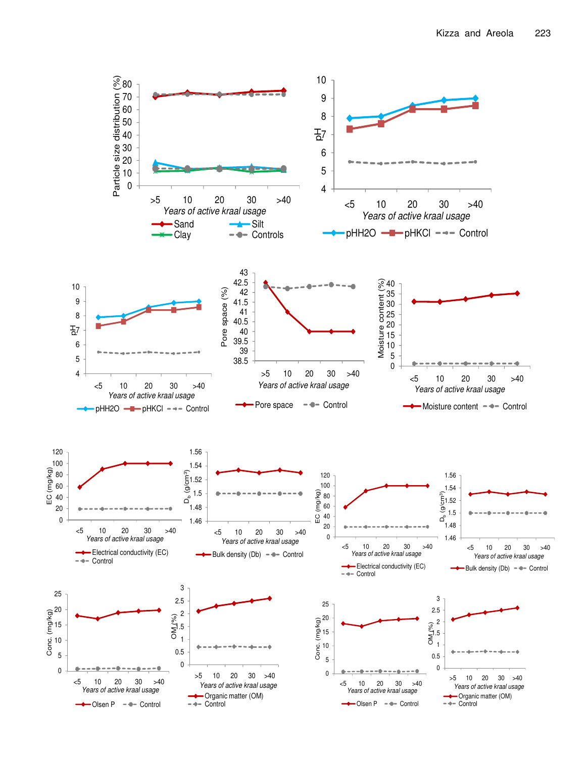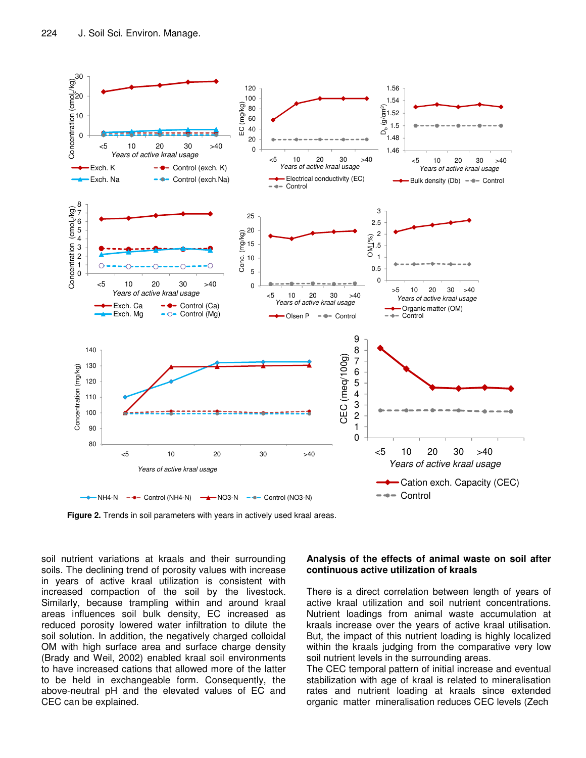

**Figure 2.** Trends in soil parameters with years in actively used kraal areas.

soil nutrient variations at kraals and their surrounding soils. The declining trend of porosity values with increase in years of active kraal utilization is consistent with increased compaction of the soil by the livestock. Similarly, because trampling within and around kraal areas influences soil bulk density, EC increased as reduced porosity lowered water infiltration to dilute the soil solution. In addition, the negatively charged colloidal OM with high surface area and surface charge density (Brady and Weil, 2002) enabled kraal soil environments to have increased cations that allowed more of the latter to be held in exchangeable form. Consequently, the above-neutral pH and the elevated values of EC and CEC can be explained.

#### **Analysis of the effects of animal waste on soil after continuous active utilization of kraals**

There is a direct correlation between length of years of active kraal utilization and soil nutrient concentrations. Nutrient loadings from animal waste accumulation at kraals increase over the years of active kraal utilisation. But, the impact of this nutrient loading is highly localized within the kraals judging from the comparative very low soil nutrient levels in the surrounding areas.

The CEC temporal pattern of initial increase and eventual stabilization with age of kraal is related to mineralisation rates and nutrient loading at kraals since extended organic matter mineralisation reduces CEC levels (Zech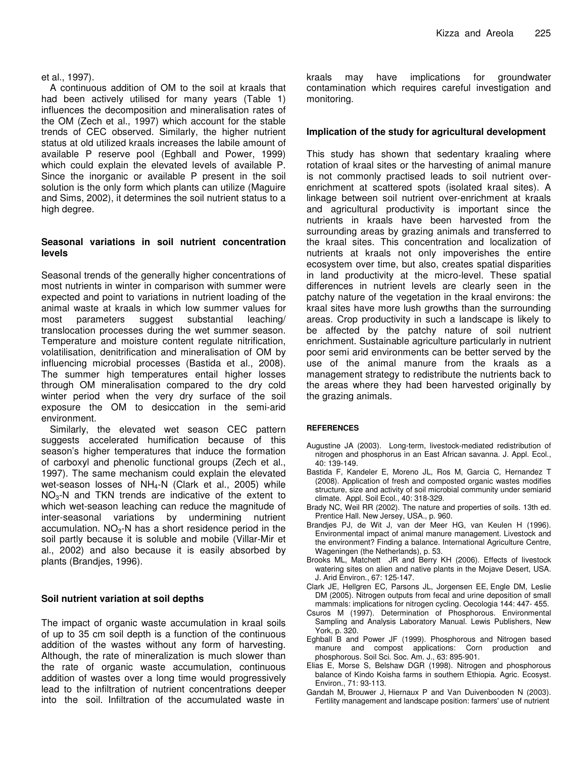#### et al., 1997).

A continuous addition of OM to the soil at kraals that had been actively utilised for many years (Table 1) influences the decomposition and mineralisation rates of the OM (Zech et al., 1997) which account for the stable trends of CEC observed. Similarly, the higher nutrient status at old utilized kraals increases the labile amount of available P reserve pool (Eghball and Power, 1999) which could explain the elevated levels of available P. Since the inorganic or available P present in the soil solution is the only form which plants can utilize (Maguire and Sims, 2002), it determines the soil nutrient status to a high degree.

## **Seasonal variations in soil nutrient concentration levels**

Seasonal trends of the generally higher concentrations of most nutrients in winter in comparison with summer were expected and point to variations in nutrient loading of the animal waste at kraals in which low summer values for most parameters suggest substantial leaching/ translocation processes during the wet summer season. Temperature and moisture content regulate nitrification, volatilisation, denitrification and mineralisation of OM by influencing microbial processes (Bastida et al., 2008). The summer high temperatures entail higher losses through OM mineralisation compared to the dry cold winter period when the very dry surface of the soil exposure the OM to desiccation in the semi-arid environment.

Similarly, the elevated wet season CEC pattern suggests accelerated humification because of this season's higher temperatures that induce the formation of carboxyl and phenolic functional groups (Zech et al., 1997). The same mechanism could explain the elevated wet-season losses of  $NH_4-N$  (Clark et al., 2005) while  $NO<sub>3</sub>$ -N and TKN trends are indicative of the extent to which wet-season leaching can reduce the magnitude of inter-seasonal variations by undermining nutrient accumulation.  $NO<sub>3</sub>$ -N has a short residence period in the soil partly because it is soluble and mobile (Villar-Mir et al., 2002) and also because it is easily absorbed by plants (Brandjes, 1996).

## **Soil nutrient variation at soil depths**

The impact of organic waste accumulation in kraal soils of up to 35 cm soil depth is a function of the continuous addition of the wastes without any form of harvesting. Although, the rate of mineralization is much slower than the rate of organic waste accumulation, continuous addition of wastes over a long time would progressively lead to the infiltration of nutrient concentrations deeper into the soil. Infiltration of the accumulated waste in

kraals may have implications for groundwater contamination which requires careful investigation and monitoring.

## **Implication of the study for agricultural development**

This study has shown that sedentary kraaling where rotation of kraal sites or the harvesting of animal manure is not commonly practised leads to soil nutrient overenrichment at scattered spots (isolated kraal sites). A linkage between soil nutrient over-enrichment at kraals and agricultural productivity is important since the nutrients in kraals have been harvested from the surrounding areas by grazing animals and transferred to the kraal sites. This concentration and localization of nutrients at kraals not only impoverishes the entire ecosystem over time, but also, creates spatial disparities in land productivity at the micro-level. These spatial differences in nutrient levels are clearly seen in the patchy nature of the vegetation in the kraal environs: the kraal sites have more lush growths than the surrounding areas. Crop productivity in such a landscape is likely to be affected by the patchy nature of soil nutrient enrichment. Sustainable agriculture particularly in nutrient poor semi arid environments can be better served by the use of the animal manure from the kraals as a management strategy to redistribute the nutrients back to the areas where they had been harvested originally by the grazing animals.

#### **REFERENCES**

- Augustine JA (2003). Long-term, livestock-mediated redistribution of nitrogen and phosphorus in an East African savanna. J. Appl. Ecol., 40: 139-149.
- Bastida F, Kandeler E, Moreno JL, Ros M, Garcia C, Hernandez T (2008). Application of fresh and composted organic wastes modifies structure, size and activity of soil microbial community under semiarid climate. Appl. Soil Ecol., 40: 318-329.
- Brady NC, Weil RR (2002). The nature and properties of soils. 13th ed. Prentice Hall. New Jersey, USA., p. 960.
- Brandjes PJ, de Wit J, van der Meer HG, van Keulen H (1996). Environmental impact of animal manure management. Livestock and the environment? Finding a balance. International Agriculture Centre, Wageningen (the Netherlands), p. 53.
- Brooks ML, Matchett JR and Berry KH (2006). Effects of livestock watering sites on alien and native plants in the Mojave Desert, USA. J. Arid Environ., 67: 125-147.
- Clark JE, Hellgren EC, Parsons JL, Jorgensen EE, Engle DM, Leslie DM (2005). Nitrogen outputs from fecal and urine deposition of small mammals: implications for nitrogen cycling*.* Oecologia 144: 447- 455.
- Csuros M (1997). Determination of Phosphorous. Environmental Sampling and Analysis Laboratory Manual. Lewis Publishers, New York, p. 320.
- Eghball B and Power JF (1999). Phosphorous and Nitrogen based manure and compost applications: Corn production and phosphorous. Soil Sci. Soc. Am. J., 63: 895-901.
- Elias E, Morse S, Belshaw DGR (1998). Nitrogen and phosphorous balance of Kindo Koisha farms in southern Ethiopia. Agric. Ecosyst. Environ., 71: 93-113.
- Gandah M, Brouwer J, Hiernaux P and Van Duivenbooden N (2003). Fertility management and landscape position: farmers' use of nutrient